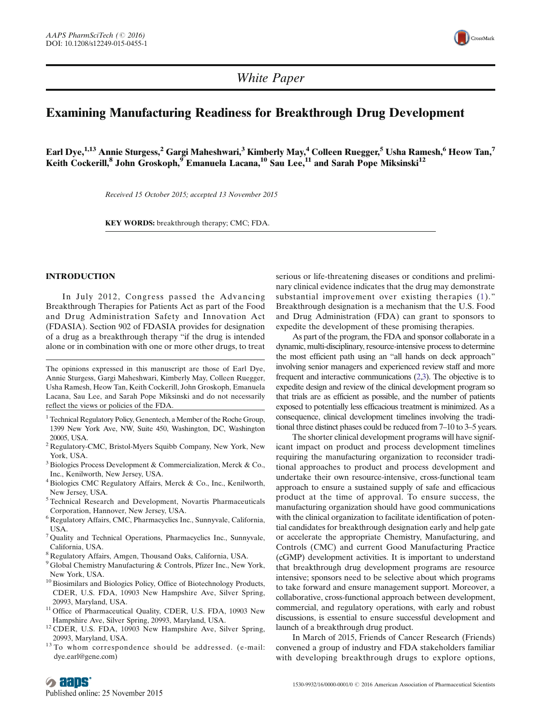

White Paper

# Examining Manufacturing Readiness for Breakthrough Drug Development

Earl Dye, $^{1,13}$  Annie Sturgess, $^2$  Gargi Maheshwari, $^3$  Kimberly May, $^4$  Colleen Ruegger, $^5$  Usha Ramesh, $^6$  Heow Tan, $^7$ Keith Cockerill,  $8$  John Groskoph,  $9$  Emanuela Lacana,  $^{10}$  Sau Lee,  $^{11}$  and Sarah Pope Miksinski $^{12}$ 

Received 15 October 2015; accepted 13 November 2015

KEY WORDS: breakthrough therapy; CMC; FDA.

### INTRODUCTION

In July 2012, Congress passed the Advancing Breakthrough Therapies for Patients Act as part of the Food and Drug Administration Safety and Innovation Act (FDASIA). Section 902 of FDASIA provides for designation of a drug as a breakthrough therapy "if the drug is intended alone or in combination with one or more other drugs, to treat

The opinions expressed in this manuscript are those of Earl Dye, Annie Sturgess, Gargi Maheshwari, Kimberly May, Colleen Ruegger, Usha Ramesh, Heow Tan, Keith Cockerill, John Groskoph, Emanuela Lacana, Sau Lee, and Sarah Pope Miksinski and do not necessarily reflect the views or policies of the FDA.

- <sup>1</sup> Technical Regulatory Policy, Genentech, a Member of the Roche Group, 1399 New York Ave, NW, Suite 450, Washington, DC, Washington 20005, USA.
- <sup>2</sup> Regulatory-CMC, Bristol-Myers Squibb Company, New York, New York, USA.
- <sup>3</sup> Biologics Process Development & Commercialization, Merck & Co., Inc., Kenilworth, New Jersey, USA.
- <sup>4</sup> Biologics CMC Regulatory Affairs, Merck & Co., Inc., Kenilworth, New Jersey, USA.
- <sup>5</sup> Technical Research and Development, Novartis Pharmaceuticals Corporation, Hannover, New Jersey, USA.
- <sup>6</sup> Regulatory Affairs, CMC, Pharmacyclics Inc., Sunnyvale, California, USA.
- <sup>7</sup> Quality and Technical Operations, Pharmacyclics Inc., Sunnyvale, California, USA.
- <sup>8</sup> Regulatory Affairs, Amgen, Thousand Oaks, California, USA.
- <sup>9</sup> Global Chemistry Manufacturing & Controls, Pfizer Inc., New York, New York, USA.
- <sup>10</sup> Biosimilars and Biologics Policy, Office of Biotechnology Products, CDER, U.S. FDA, 10903 New Hampshire Ave, Silver Spring,
- 20993, Maryland, USA. <sup>11</sup> Office of Pharmaceutical Quality, CDER, U.S. FDA, 10903 New
- Hampshire Ave, Silver Spring, 20993, Maryland, USA. <sup>12</sup> CDER, U.S. FDA, 10903 New Hampshire Ave, Silver Spring, 20993, Maryland, USA.  $13$  To whom correspondence should be addressed. (e-mail:
- dye.earl@gene.com)

serious or life-threatening diseases or conditions and preliminary clinical evidence indicates that the drug may demonstrate substantial improvement over existing therapies  $(1)$  $(1)$  $(1)$ .<sup>"</sup> Breakthrough designation is a mechanism that the U.S. Food and Drug Administration (FDA) can grant to sponsors to expedite the development of these promising therapies.

As part of the program, the FDA and sponsor collaborate in a dynamic, multi-disciplinary, resource-intensive process to determine the most efficient path using an "all hands on deck approach" involving senior managers and experienced review staff and more frequent and interactive communications ([2,3\)](#page-9-0). The objective is to expedite design and review of the clinical development program so that trials are as efficient as possible, and the number of patients exposed to potentially less efficacious treatment is minimized. As a consequence, clinical development timelines involving the traditional three distinct phases could be reduced from 7–10 to 3–5 years.

The shorter clinical development programs will have significant impact on product and process development timelines requiring the manufacturing organization to reconsider traditional approaches to product and process development and undertake their own resource-intensive, cross-functional team approach to ensure a sustained supply of safe and efficacious product at the time of approval. To ensure success, the manufacturing organization should have good communications with the clinical organization to facilitate identification of potential candidates for breakthrough designation early and help gate or accelerate the appropriate Chemistry, Manufacturing, and Controls (CMC) and current Good Manufacturing Practice (cGMP) development activities. It is important to understand that breakthrough drug development programs are resource intensive; sponsors need to be selective about which programs to take forward and ensure management support. Moreover, a collaborative, cross-functional approach between development, commercial, and regulatory operations, with early and robust discussions, is essential to ensure successful development and launch of a breakthrough drug product.

In March of 2015, Friends of Cancer Research (Friends) convened a group of industry and FDA stakeholders familiar with developing breakthrough drugs to explore options,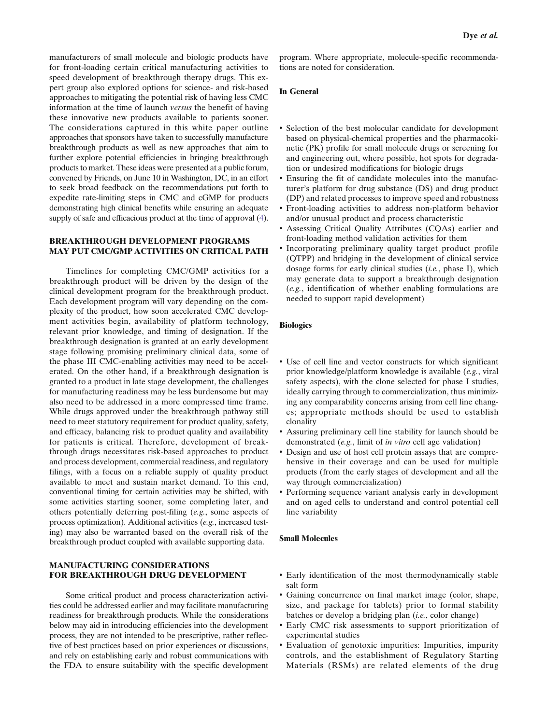manufacturers of small molecule and biologic products have for front-loading certain critical manufacturing activities to speed development of breakthrough therapy drugs. This expert group also explored options for science- and risk-based approaches to mitigating the potential risk of having less CMC information at the time of launch versus the benefit of having these innovative new products available to patients sooner. The considerations captured in this white paper outline approaches that sponsors have taken to successfully manufacture breakthrough products as well as new approaches that aim to further explore potential efficiencies in bringing breakthrough products to market. These ideas were presented at a public forum, convened by Friends, on June 10 in Washington, DC, in an effort to seek broad feedback on the recommendations put forth to expedite rate-limiting steps in CMC and cGMP for products demonstrating high clinical benefits while ensuring an adequate supply of safe and efficacious product at the time of approval [\(4](#page-9-0)).

### BREAKTHROUGH DEVELOPMENT PROGRAMS MAY PUT CMC/GMP ACTIVITIES ON CRITICAL PATH

Timelines for completing CMC/GMP activities for a breakthrough product will be driven by the design of the clinical development program for the breakthrough product. Each development program will vary depending on the complexity of the product, how soon accelerated CMC development activities begin, availability of platform technology, relevant prior knowledge, and timing of designation. If the breakthrough designation is granted at an early development stage following promising preliminary clinical data, some of the phase III CMC-enabling activities may need to be accelerated. On the other hand, if a breakthrough designation is granted to a product in late stage development, the challenges for manufacturing readiness may be less burdensome but may also need to be addressed in a more compressed time frame. While drugs approved under the breakthrough pathway still need to meet statutory requirement for product quality, safety, and efficacy, balancing risk to product quality and availability for patients is critical. Therefore, development of breakthrough drugs necessitates risk-based approaches to product and process development, commercial readiness, and regulatory filings, with a focus on a reliable supply of quality product available to meet and sustain market demand. To this end, conventional timing for certain activities may be shifted, with some activities starting sooner, some completing later, and others potentially deferring post-filing (e.g., some aspects of process optimization). Additional activities (e.g., increased testing) may also be warranted based on the overall risk of the breakthrough product coupled with available supporting data.

# MANUFACTURING CONSIDERATIONS FOR BREAKTHROUGH DRUG DEVELOPMENT

Some critical product and process characterization activities could be addressed earlier and may facilitate manufacturing readiness for breakthrough products. While the considerations below may aid in introducing efficiencies into the development process, they are not intended to be prescriptive, rather reflective of best practices based on prior experiences or discussions, and rely on establishing early and robust communications with the FDA to ensure suitability with the specific development program. Where appropriate, molecule-specific recommendations are noted for consideration.

# In General

- Selection of the best molecular candidate for development based on physical-chemical properties and the pharmacokinetic (PK) profile for small molecule drugs or screening for and engineering out, where possible, hot spots for degradation or undesired modifications for biologic drugs
- & Ensuring the fit of candidate molecules into the manufacturer's platform for drug substance (DS) and drug product (DP) and related processes to improve speed and robustness
- & Front-loading activities to address non-platform behavior and/or unusual product and process characteristic
- & Assessing Critical Quality Attributes (CQAs) earlier and front-loading method validation activities for them
- Incorporating preliminary quality target product profile (QTPP) and bridging in the development of clinical service dosage forms for early clinical studies (i.e., phase I), which may generate data to support a breakthrough designation (e.g., identification of whether enabling formulations are needed to support rapid development)

### **Biologics**

- & Use of cell line and vector constructs for which significant prior knowledge/platform knowledge is available (e.g., viral safety aspects), with the clone selected for phase I studies, ideally carrying through to commercialization, thus minimizing any comparability concerns arising from cell line changes; appropriate methods should be used to establish clonality
- & Assuring preliminary cell line stability for launch should be demonstrated (e.g., limit of in vitro cell age validation)
- Design and use of host cell protein assays that are comprehensive in their coverage and can be used for multiple products (from the early stages of development and all the way through commercialization)
- & Performing sequence variant analysis early in development and on aged cells to understand and control potential cell line variability

### Small Molecules

- & Early identification of the most thermodynamically stable salt form
- & Gaining concurrence on final market image (color, shape, size, and package for tablets) prior to formal stability batches or develop a bridging plan (i.e., color change)
- Early CMC risk assessments to support prioritization of experimental studies
- & Evaluation of genotoxic impurities: Impurities, impurity controls, and the establishment of Regulatory Starting Materials (RSMs) are related elements of the drug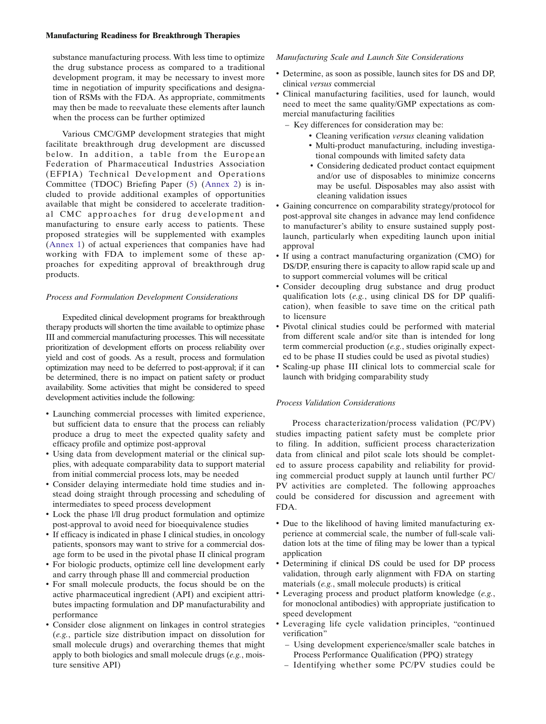substance manufacturing process. With less time to optimize the drug substance process as compared to a traditional development program, it may be necessary to invest more time in negotiation of impurity specifications and designation of RSMs with the FDA. As appropriate, commitments may then be made to reevaluate these elements after launch when the process can be further optimized

Various CMC/GMP development strategies that might facilitate breakthrough drug development are discussed below. In addition, a table from the European Federation of Pharmaceutical Industries Association (EFPIA) Technical Development and Operations Committee (TDOC) Briefing Paper ([5\)](#page-9-0) [\(Annex 2\)](#page-7-0) is included to provide additional examples of opportunities available that might be considered to accelerate traditional CMC approaches for drug development and manufacturing to ensure early access to patients. These proposed strategies will be supplemented with examples ([Annex 1\)](#page-5-0) of actual experiences that companies have had working with FDA to implement some of these approaches for expediting approval of breakthrough drug products.

### Process and Formulation Development Considerations

Expedited clinical development programs for breakthrough therapy products will shorten the time available to optimize phase III and commercial manufacturing processes. This will necessitate prioritization of development efforts on process reliability over yield and cost of goods. As a result, process and formulation optimization may need to be deferred to post-approval; if it can be determined, there is no impact on patient safety or product availability. Some activities that might be considered to speed development activities include the following:

- & Launching commercial processes with limited experience, but sufficient data to ensure that the process can reliably produce a drug to meet the expected quality safety and efficacy profile and optimize post-approval
- & Using data from development material or the clinical supplies, with adequate comparability data to support material from initial commercial process lots, may be needed
- & Consider delaying intermediate hold time studies and instead doing straight through processing and scheduling of intermediates to speed process development
- & Lock the phase l/ll drug product formulation and optimize post-approval to avoid need for bioequivalence studies
- & If efficacy is indicated in phase I clinical studies, in oncology patients, sponsors may want to strive for a commercial dosage form to be used in the pivotal phase II clinical program
- & For biologic products, optimize cell line development early and carry through phase lll and commercial production
- & For small molecule products, the focus should be on the active pharmaceutical ingredient (API) and excipient attributes impacting formulation and DP manufacturability and performance
- & Consider close alignment on linkages in control strategies (e.g., particle size distribution impact on dissolution for small molecule drugs) and overarching themes that might apply to both biologics and small molecule drugs (e.g., moisture sensitive API)

#### Manufacturing Scale and Launch Site Considerations

- & Determine, as soon as possible, launch sites for DS and DP, clinical versus commercial
- & Clinical manufacturing facilities, used for launch, would need to meet the same quality/GMP expectations as commercial manufacturing facilities
	- Key differences for consideration may be:
		- Cleaning verification versus cleaning validation
		- & Multi-product manufacturing, including investigational compounds with limited safety data
		- & Considering dedicated product contact equipment and/or use of disposables to minimize concerns may be useful. Disposables may also assist with cleaning validation issues
- & Gaining concurrence on comparability strategy/protocol for post-approval site changes in advance may lend confidence to manufacturer's ability to ensure sustained supply postlaunch, particularly when expediting launch upon initial approval
- & If using a contract manufacturing organization (CMO) for DS/DP, ensuring there is capacity to allow rapid scale up and to support commercial volumes will be critical
- & Consider decoupling drug substance and drug product qualification lots (e.g., using clinical DS for DP qualification), when feasible to save time on the critical path to licensure
- & Pivotal clinical studies could be performed with material from different scale and/or site than is intended for long term commercial production (e.g., studies originally expected to be phase II studies could be used as pivotal studies)
- Scaling-up phase III clinical lots to commercial scale for launch with bridging comparability study

#### Process Validation Considerations

Process characterization/process validation (PC/PV) studies impacting patient safety must be complete prior to filing. In addition, sufficient process characterization data from clinical and pilot scale lots should be completed to assure process capability and reliability for providing commercial product supply at launch until further PC/ PV activities are completed. The following approaches could be considered for discussion and agreement with FDA.

- & Due to the likelihood of having limited manufacturing experience at commercial scale, the number of full-scale validation lots at the time of filing may be lower than a typical application
- Determining if clinical DS could be used for DP process validation, through early alignment with FDA on starting materials (e.g., small molecule products) is critical
- $\bullet$  Leveraging process and product platform knowledge (e.g., for monoclonal antibodies) with appropriate justification to speed development
- $\bullet$  Leveraging life cycle validation principles, "continued verification<sup>"</sup>
	- Using development experience/smaller scale batches in Process Performance Qualification (PPQ) strategy
	- Identifying whether some PC/PV studies could be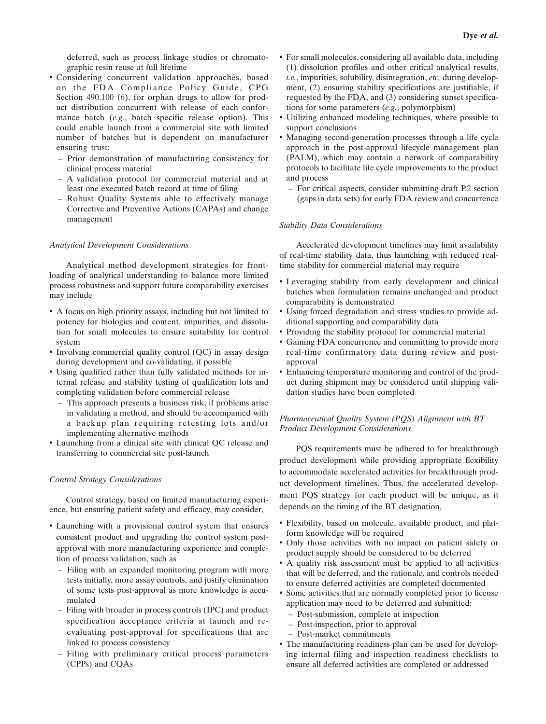deferred, such as process linkage studies or chromatographic resin reuse at full lifetime

- & Considering concurrent validation approaches, based on the FDA Compliance Policy Guide, CPG Section 490.100 ([6](#page-9-0)), for orphan drugs to allow for product distribution concurrent with release of each conformance batch (e.g., batch specific release option). This could enable launch from a commercial site with limited number of batches but is dependent on manufacturer ensuring trust:
	- Prior demonstration of manufacturing consistency for clinical process material
	- A validation protocol for commercial material and at least one executed batch record at time of filing
	- Robust Quality Systems able to effectively manage Corrective and Preventive Actions (CAPAs) and change management

### Analytical Development Considerations

Analytical method development strategies for frontloading of analytical understanding to balance more limited process robustness and support future comparability exercises may include

- & A focus on high priority assays, including but not limited to potency for biologics and content, impurities, and dissolution for small molecules to ensure suitability for control system
- Involving commercial quality control (QC) in assay design during development and co-validating, if possible
- & Using qualified rather than fully validated methods for internal release and stability testing of qualification lots and completing validation before commercial release
	- This approach presents a business risk, if problems arise in validating a method, and should be accompanied with a backup plan requiring retesting lots and/or implementing alternative methods
- & Launching from a clinical site with clinical QC release and transferring to commercial site post-launch

### Control Strategy Considerations

Control strategy, based on limited manufacturing experience, but ensuring patient safety and efficacy, may consider,

- & Launching with a provisional control system that ensures consistent product and upgrading the control system postapproval with more manufacturing experience and completion of process validation, such as
	- Filing with an expanded monitoring program with more tests initially, more assay controls, and justify elimination of some tests post-approval as more knowledge is accumulated
	- Filing with broader in process controls (IPC) and product specification acceptance criteria at launch and reevaluating post-approval for specifications that are linked to process consistency
	- Filing with preliminary critical process parameters (CPPs) and CQAs
- & For small molecules, considering all available data, including (1) dissolution profiles and other critical analytical results, i.e., impurities, solubility, disintegration, etc. during development, (2) ensuring stability specifications are justifiable, if requested by the FDA, and (3) considering sunset specifications for some parameters (e.g., polymorphism)
- Utilizing enhanced modeling techniques, where possible to support conclusions
- & Managing second-generation processes through a life cycle approach in the post-approval lifecycle management plan (PALM), which may contain a network of comparability protocols to facilitate life cycle improvements to the product and process
	- For critical aspects, consider submitting draft P.2 section (gaps in data sets) for early FDA review and concurrence

### Stability Data Considerations

Accelerated development timelines may limit availability of real-time stability data, thus launching with reduced realtime stability for commercial material may require

- & Leveraging stability from early development and clinical batches when formulation remains unchanged and product comparability is demonstrated
- & Using forced degradation and stress studies to provide additional supporting and comparability data
- & Providing the stability protocol for commercial material
- & Gaining FDA concurrence and committing to provide more real-time confirmatory data during review and postapproval
- & Enhancing temperature monitoring and control of the product during shipment may be considered until shipping validation studies have been completed

# Pharmaceutical Quality System (PQS) Alignment with BT Product Development Considerations

PQS requirements must be adhered to for breakthrough product development while providing appropriate flexibility to accommodate accelerated activities for breakthrough product development timelines. Thus, the accelerated development PQS strategy for each product will be unique, as it depends on the timing of the BT designation,

- & Flexibility, based on molecule, available product, and platform knowledge will be required
- & Only those activities with no impact on patient safety or product supply should be considered to be deferred
- & A quality risk assessment must be applied to all activities that will be deferred, and the rationale, and controls needed to ensure deferred activities are completed documented
- & Some activities that are normally completed prior to license application may need to be deferred and submitted:
	- Post-submission, complete at inspection
	- Post-inspection, prior to approval
	- Post-market commitments
- & The manufacturing readiness plan can be used for developing internal filing and inspection readiness checklists to ensure all deferred activities are completed or addressed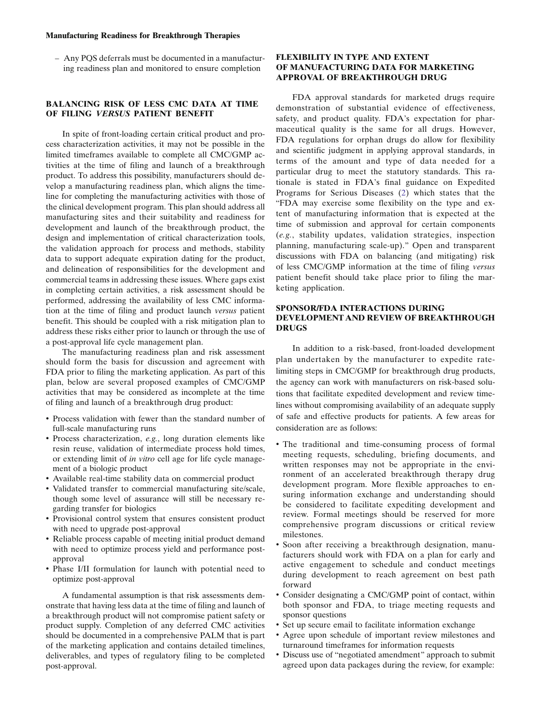– Any PQS deferrals must be documented in a manufacturing readiness plan and monitored to ensure completion

# BALANCING RISK OF LESS CMC DATA AT TIME OF FILING VERSUS PATIENT BENEFIT

In spite of front-loading certain critical product and process characterization activities, it may not be possible in the limited timeframes available to complete all CMC/GMP activities at the time of filing and launch of a breakthrough product. To address this possibility, manufacturers should develop a manufacturing readiness plan, which aligns the timeline for completing the manufacturing activities with those of the clinical development program. This plan should address all manufacturing sites and their suitability and readiness for development and launch of the breakthrough product, the design and implementation of critical characterization tools, the validation approach for process and methods, stability data to support adequate expiration dating for the product, and delineation of responsibilities for the development and commercial teams in addressing these issues. Where gaps exist in completing certain activities, a risk assessment should be performed, addressing the availability of less CMC information at the time of filing and product launch versus patient benefit. This should be coupled with a risk mitigation plan to address these risks either prior to launch or through the use of a post-approval life cycle management plan.

The manufacturing readiness plan and risk assessment should form the basis for discussion and agreement with FDA prior to filing the marketing application. As part of this plan, below are several proposed examples of CMC/GMP activities that may be considered as incomplete at the time of filing and launch of a breakthrough drug product:

- & Process validation with fewer than the standard number of full-scale manufacturing runs
- & Process characterization, e.g., long duration elements like resin reuse, validation of intermediate process hold times, or extending limit of in vitro cell age for life cycle management of a biologic product
- & Available real-time stability data on commercial product
- & Validated transfer to commercial manufacturing site/scale, though some level of assurance will still be necessary regarding transfer for biologics
- & Provisional control system that ensures consistent product with need to upgrade post-approval
- & Reliable process capable of meeting initial product demand with need to optimize process yield and performance postapproval
- & Phase I/II formulation for launch with potential need to optimize post-approval

A fundamental assumption is that risk assessments demonstrate that having less data at the time of filing and launch of a breakthrough product will not compromise patient safety or product supply. Completion of any deferred CMC activities should be documented in a comprehensive PALM that is part of the marketing application and contains detailed timelines, deliverables, and types of regulatory filing to be completed post-approval.

# FLEXIBILITY IN TYPE AND EXTENT OF MANUFACTURING DATA FOR MARKETING APPROVAL OF BREAKTHROUGH DRUG

FDA approval standards for marketed drugs require demonstration of substantial evidence of effectiveness, safety, and product quality. FDA's expectation for pharmaceutical quality is the same for all drugs. However, FDA regulations for orphan drugs do allow for flexibility and scientific judgment in applying approval standards, in terms of the amount and type of data needed for a particular drug to meet the statutory standards. This rationale is stated in FDA's final guidance on Expedited Programs for Serious Diseases [\(2\)](#page-9-0) which states that the BFDA may exercise some flexibility on the type and extent of manufacturing information that is expected at the time of submission and approval for certain components (e.g., stability updates, validation strategies, inspection planning, manufacturing scale-up).^ Open and transparent discussions with FDA on balancing (and mitigating) risk of less CMC/GMP information at the time of filing versus patient benefit should take place prior to filing the marketing application.

# SPONSOR/FDA INTERACTIONS DURING DEVELOPMENT AND REVIEW OF BREAKTHROUGH DRUGS

In addition to a risk-based, front-loaded development plan undertaken by the manufacturer to expedite ratelimiting steps in CMC/GMP for breakthrough drug products, the agency can work with manufacturers on risk-based solutions that facilitate expedited development and review timelines without compromising availability of an adequate supply of safe and effective products for patients. A few areas for consideration are as follows:

- & The traditional and time-consuming process of formal meeting requests, scheduling, briefing documents, and written responses may not be appropriate in the environment of an accelerated breakthrough therapy drug development program. More flexible approaches to ensuring information exchange and understanding should be considered to facilitate expediting development and review. Formal meetings should be reserved for more comprehensive program discussions or critical review milestones.
- Soon after receiving a breakthrough designation, manufacturers should work with FDA on a plan for early and active engagement to schedule and conduct meetings during development to reach agreement on best path forward
- & Consider designating a CMC/GMP point of contact, within both sponsor and FDA, to triage meeting requests and sponsor questions
- Set up secure email to facilitate information exchange
- Agree upon schedule of important review milestones and turnaround timeframes for information requests
- Discuss use of "negotiated amendment" approach to submit agreed upon data packages during the review, for example: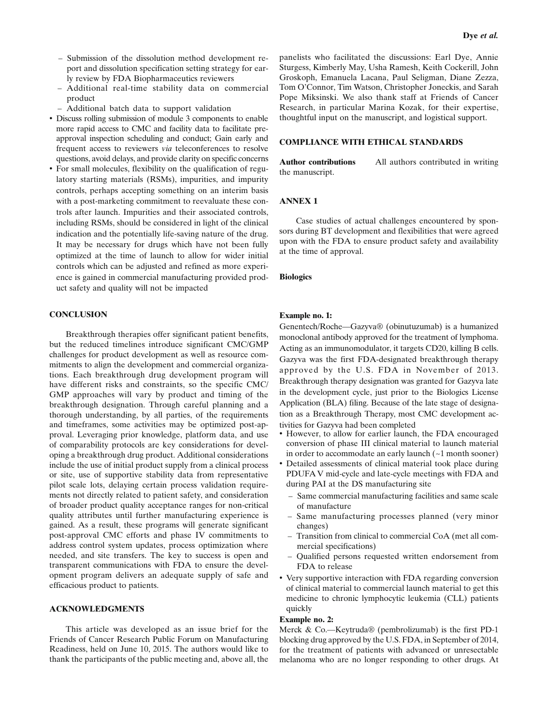- <span id="page-5-0"></span>– Submission of the dissolution method development report and dissolution specification setting strategy for early review by FDA Biopharmaceutics reviewers
- Additional real-time stability data on commercial product
- Additional batch data to support validation
- & Discuss rolling submission of module 3 components to enable more rapid access to CMC and facility data to facilitate preapproval inspection scheduling and conduct; Gain early and frequent access to reviewers via teleconferences to resolve questions, avoid delays, and provide clarity on specific concerns
- & For small molecules, flexibility on the qualification of regulatory starting materials (RSMs), impurities, and impurity controls, perhaps accepting something on an interim basis with a post-marketing commitment to reevaluate these controls after launch. Impurities and their associated controls, including RSMs, should be considered in light of the clinical indication and the potentially life-saving nature of the drug. It may be necessary for drugs which have not been fully optimized at the time of launch to allow for wider initial controls which can be adjusted and refined as more experience is gained in commercial manufacturing provided product safety and quality will not be impacted

# **CONCLUSION**

Breakthrough therapies offer significant patient benefits, but the reduced timelines introduce significant CMC/GMP challenges for product development as well as resource commitments to align the development and commercial organizations. Each breakthrough drug development program will have different risks and constraints, so the specific CMC/ GMP approaches will vary by product and timing of the breakthrough designation. Through careful planning and a thorough understanding, by all parties, of the requirements and timeframes, some activities may be optimized post-approval. Leveraging prior knowledge, platform data, and use of comparability protocols are key considerations for developing a breakthrough drug product. Additional considerations include the use of initial product supply from a clinical process or site, use of supportive stability data from representative pilot scale lots, delaying certain process validation requirements not directly related to patient safety, and consideration of broader product quality acceptance ranges for non-critical quality attributes until further manufacturing experience is gained. As a result, these programs will generate significant post-approval CMC efforts and phase IV commitments to address control system updates, process optimization where needed, and site transfers. The key to success is open and transparent communications with FDA to ensure the development program delivers an adequate supply of safe and efficacious product to patients.

# ACKNOWLEDGMENTS

This article was developed as an issue brief for the Friends of Cancer Research Public Forum on Manufacturing Readiness, held on June 10, 2015. The authors would like to thank the participants of the public meeting and, above all, the

panelists who facilitated the discussions: Earl Dye, Annie Sturgess, Kimberly May, Usha Ramesh, Keith Cockerill, John Groskoph, Emanuela Lacana, Paul Seligman, Diane Zezza, Tom O'Connor, Tim Watson, Christopher Joneckis, and Sarah Pope Miksinski. We also thank staff at Friends of Cancer Research, in particular Marina Kozak, for their expertise, thoughtful input on the manuscript, and logistical support.

### COMPLIANCE WITH ETHICAL STANDARDS

Author contributions All authors contributed in writing the manuscript.

### ANNEX 1

Case studies of actual challenges encountered by sponsors during BT development and flexibilities that were agreed upon with the FDA to ensure product safety and availability at the time of approval.

#### **Biologics**

### Example no. 1:

Genentech/Roche—Gazyva® (obinutuzumab) is a humanized monoclonal antibody approved for the treatment of lymphoma. Acting as an immunomodulator, it targets CD20, killing B cells. Gazyva was the first FDA-designated breakthrough therapy approved by the U.S. FDA in November of 2013. Breakthrough therapy designation was granted for Gazyva late in the development cycle, just prior to the Biologics License Application (BLA) filing. Because of the late stage of designation as a Breakthrough Therapy, most CMC development activities for Gazyva had been completed

- & However, to allow for earlier launch, the FDA encouraged conversion of phase III clinical material to launch material in order to accommodate an early launch (~1 month sooner)
- & Detailed assessments of clinical material took place during PDUFA V mid-cycle and late-cycle meetings with FDA and during PAI at the DS manufacturing site
	- Same commercial manufacturing facilities and same scale of manufacture
	- Same manufacturing processes planned (very minor changes)
	- Transition from clinical to commercial CoA (met all commercial specifications)
	- Qualified persons requested written endorsement from FDA to release
- Very supportive interaction with FDA regarding conversion of clinical material to commercial launch material to get this medicine to chronic lymphocytic leukemia (CLL) patients quickly

### Example no. 2:

Merck & Co.—Keytruda® (pembrolizumab) is the first PD-1 blocking drug approved by the U.S. FDA, in September of 2014, for the treatment of patients with advanced or unresectable melanoma who are no longer responding to other drugs. At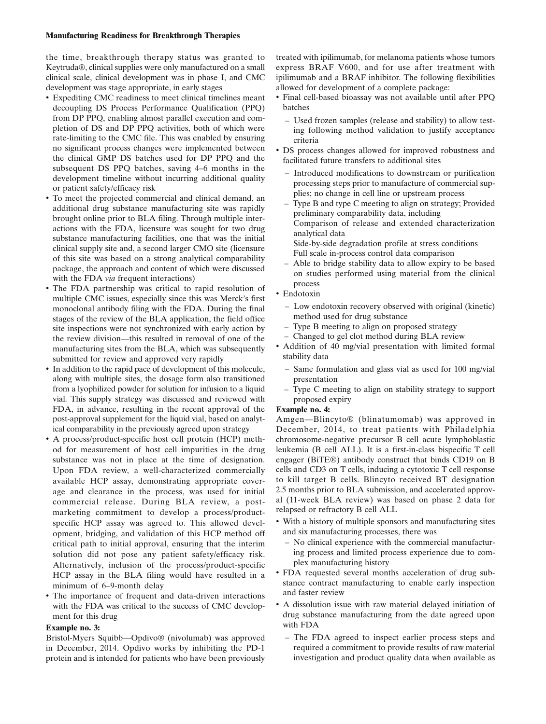the time, breakthrough therapy status was granted to Keytruda®, clinical supplies were only manufactured on a small clinical scale, clinical development was in phase I, and CMC development was stage appropriate, in early stages

- & Expediting CMC readiness to meet clinical timelines meant decoupling DS Process Performance Qualification (PPQ) from DP PPQ, enabling almost parallel execution and completion of DS and DP PPQ activities, both of which were rate-limiting to the CMC file. This was enabled by ensuring no significant process changes were implemented between the clinical GMP DS batches used for DP PPQ and the subsequent DS PPQ batches, saving 4–6 months in the development timeline without incurring additional quality or patient safety/efficacy risk
- & To meet the projected commercial and clinical demand, an additional drug substance manufacturing site was rapidly brought online prior to BLA filing. Through multiple interactions with the FDA, licensure was sought for two drug substance manufacturing facilities, one that was the initial clinical supply site and, a second larger CMO site (licensure of this site was based on a strong analytical comparability package, the approach and content of which were discussed with the FDA *via* frequent interactions)
- & The FDA partnership was critical to rapid resolution of multiple CMC issues, especially since this was Merck's first monoclonal antibody filing with the FDA. During the final stages of the review of the BLA application, the field office site inspections were not synchronized with early action by the review division—this resulted in removal of one of the manufacturing sites from the BLA, which was subsequently submitted for review and approved very rapidly
- In addition to the rapid pace of development of this molecule, along with multiple sites, the dosage form also transitioned from a lyophilized powder for solution for infusion to a liquid vial. This supply strategy was discussed and reviewed with FDA, in advance, resulting in the recent approval of the post-approval supplement for the liquid vial, based on analytical comparability in the previously agreed upon strategy
- & A process/product-specific host cell protein (HCP) method for measurement of host cell impurities in the drug substance was not in place at the time of designation. Upon FDA review, a well-characterized commercially available HCP assay, demonstrating appropriate coverage and clearance in the process, was used for initial commercial release. During BLA review, a postmarketing commitment to develop a process/productspecific HCP assay was agreed to. This allowed development, bridging, and validation of this HCP method off critical path to initial approval, ensuring that the interim solution did not pose any patient safety/efficacy risk. Alternatively, inclusion of the process/product-specific HCP assay in the BLA filing would have resulted in a minimum of 6–9-month delay
- & The importance of frequent and data-driven interactions with the FDA was critical to the success of CMC development for this drug

# Example no. 3:

Bristol-Myers Squibb—Opdivo® (nivolumab) was approved in December, 2014. Opdivo works by inhibiting the PD-1 protein and is intended for patients who have been previously treated with ipilimumab, for melanoma patients whose tumors express BRAF V600, and for use after treatment with ipilimumab and a BRAF inhibitor. The following flexibilities allowed for development of a complete package:

- & Final cell-based bioassay was not available until after PPQ batches
	- Used frozen samples (release and stability) to allow testing following method validation to justify acceptance criteria
- & DS process changes allowed for improved robustness and facilitated future transfers to additional sites
	- Introduced modifications to downstream or purification processing steps prior to manufacture of commercial supplies; no change in cell line or upstream process
	- Type B and type C meeting to align on strategy; Provided preliminary comparability data, including Comparison of release and extended characterization analytical data Side-by-side degradation profile at stress conditions Full scale in-process control data comparison
	- Able to bridge stability data to allow expiry to be based on studies performed using material from the clinical process
- Endotoxin
	- Low endotoxin recovery observed with original (kinetic) method used for drug substance
	- Type B meeting to align on proposed strategy
	- Changed to gel clot method during BLA review
- & Addition of 40 mg/vial presentation with limited formal stability data
	- Same formulation and glass vial as used for 100 mg/vial presentation
	- Type C meeting to align on stability strategy to support proposed expiry

# Example no. 4:

Amgen—Blincyto® (blinatumomab) was approved in December, 2014, to treat patients with Philadelphia chromosome-negative precursor B cell acute lymphoblastic leukemia (B cell ALL). It is a first-in-class bispecific T cell engager (BiTE®) antibody construct that binds CD19 on B cells and CD3 on T cells, inducing a cytotoxic T cell response to kill target B cells. Blincyto received BT designation 2.5 months prior to BLA submission, and accelerated approval (11-week BLA review) was based on phase 2 data for relapsed or refractory B cell ALL

- & With a history of multiple sponsors and manufacturing sites and six manufacturing processes, there was
	- No clinical experience with the commercial manufacturing process and limited process experience due to complex manufacturing history
- & FDA requested several months acceleration of drug substance contract manufacturing to enable early inspection and faster review
- & A dissolution issue with raw material delayed initiation of drug substance manufacturing from the date agreed upon with FDA
	- The FDA agreed to inspect earlier process steps and required a commitment to provide results of raw material investigation and product quality data when available as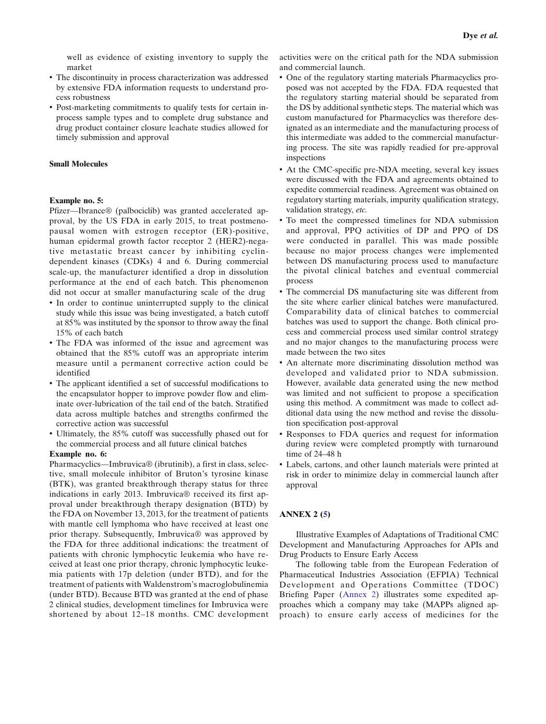<span id="page-7-0"></span>well as evidence of existing inventory to supply the market

- & The discontinuity in process characterization was addressed by extensive FDA information requests to understand process robustness
- & Post-marketing commitments to qualify tests for certain inprocess sample types and to complete drug substance and drug product container closure leachate studies allowed for timely submission and approval

### Small Molecules

#### Example no. 5:

Pfizer—Ibrance® (palbociclib) was granted accelerated approval, by the US FDA in early 2015, to treat postmenopausal women with estrogen receptor (ER)-positive, human epidermal growth factor receptor 2 (HER2)-negative metastatic breast cancer by inhibiting cyclindependent kinases (CDKs) 4 and 6. During commercial scale-up, the manufacturer identified a drop in dissolution performance at the end of each batch. This phenomenon did not occur at smaller manufacturing scale of the drug

- & In order to continue uninterrupted supply to the clinical study while this issue was being investigated, a batch cutoff at 85% was instituted by the sponsor to throw away the final 15% of each batch
- & The FDA was informed of the issue and agreement was obtained that the 85% cutoff was an appropriate interim measure until a permanent corrective action could be identified
- & The applicant identified a set of successful modifications to the encapsulator hopper to improve powder flow and eliminate over-lubrication of the tail end of the batch. Stratified data across multiple batches and strengths confirmed the corrective action was successful
- & Ultimately, the 85% cutoff was successfully phased out for the commercial process and all future clinical batches

### Example no. 6:

Pharmacyclics—Imbruvica® (ibrutinib), a first in class, selective, small molecule inhibitor of Bruton's tyrosine kinase (BTK), was granted breakthrough therapy status for three indications in early 2013. Imbruvica® received its first approval under breakthrough therapy designation (BTD) by the FDA on November 13, 2013, for the treatment of patients with mantle cell lymphoma who have received at least one prior therapy. Subsequently, Imbruvica® was approved by the FDA for three additional indications: the treatment of patients with chronic lymphocytic leukemia who have received at least one prior therapy, chronic lymphocytic leukemia patients with 17p deletion (under BTD), and for the treatment of patients with Waldenstrom's macroglobulinemia (under BTD). Because BTD was granted at the end of phase 2 clinical studies, development timelines for Imbruvica were shortened by about 12–18 months. CMC development activities were on the critical path for the NDA submission and commercial launch.

- & One of the regulatory starting materials Pharmacyclics proposed was not accepted by the FDA. FDA requested that the regulatory starting material should be separated from the DS by additional synthetic steps. The material which was custom manufactured for Pharmacyclics was therefore designated as an intermediate and the manufacturing process of this intermediate was added to the commercial manufacturing process. The site was rapidly readied for pre-approval inspections
- & At the CMC-specific pre-NDA meeting, several key issues were discussed with the FDA and agreements obtained to expedite commercial readiness. Agreement was obtained on regulatory starting materials, impurity qualification strategy, validation strategy, etc.
- & To meet the compressed timelines for NDA submission and approval, PPQ activities of DP and PPQ of DS were conducted in parallel. This was made possible because no major process changes were implemented between DS manufacturing process used to manufacture the pivotal clinical batches and eventual commercial process
- & The commercial DS manufacturing site was different from the site where earlier clinical batches were manufactured. Comparability data of clinical batches to commercial batches was used to support the change. Both clinical process and commercial process used similar control strategy and no major changes to the manufacturing process were made between the two sites
- & An alternate more discriminating dissolution method was developed and validated prior to NDA submission. However, available data generated using the new method was limited and not sufficient to propose a specification using this method. A commitment was made to collect additional data using the new method and revise the dissolution specification post-approval
- & Responses to FDA queries and request for information during review were completed promptly with turnaround time of 24–48 h
- & Labels, cartons, and other launch materials were printed at risk in order to minimize delay in commercial launch after approval

# ANNEX 2 ([5](#page-9-0))

Illustrative Examples of Adaptations of Traditional CMC Development and Manufacturing Approaches for APIs and Drug Products to Ensure Early Access

The following table from the European Federation of Pharmaceutical Industries Association (EFPIA) Technical Development and Operations Committee (TDOC) Briefing Paper (Annex 2) illustrates some expedited approaches which a company may take (MAPPs aligned approach) to ensure early access of medicines for the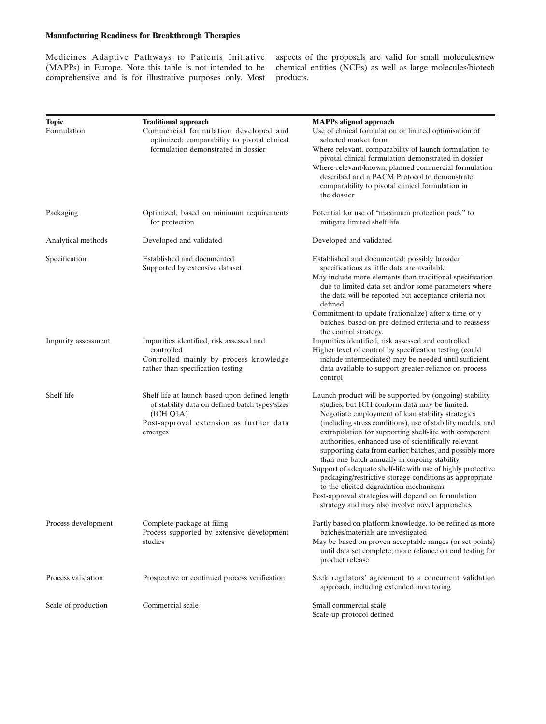Medicines Adaptive Pathways to Patients Initiative (MAPPs) in Europe. Note this table is not intended to be comprehensive and is for illustrative purposes only. Most aspects of the proposals are valid for small molecules/new chemical entities (NCEs) as well as large molecules/biotech products.

| <b>Topic</b>        | <b>Traditional approach</b>                                                                                                                                         | <b>MAPPs aligned approach</b>                                                                                                                                                                                                                                                                                                                                                                                                                                                                                                                                                                                                                                                                                                           |
|---------------------|---------------------------------------------------------------------------------------------------------------------------------------------------------------------|-----------------------------------------------------------------------------------------------------------------------------------------------------------------------------------------------------------------------------------------------------------------------------------------------------------------------------------------------------------------------------------------------------------------------------------------------------------------------------------------------------------------------------------------------------------------------------------------------------------------------------------------------------------------------------------------------------------------------------------------|
| Formulation         | Commercial formulation developed and<br>optimized; comparability to pivotal clinical<br>formulation demonstrated in dossier                                         | Use of clinical formulation or limited optimisation of<br>selected market form<br>Where relevant, comparability of launch formulation to<br>pivotal clinical formulation demonstrated in dossier                                                                                                                                                                                                                                                                                                                                                                                                                                                                                                                                        |
|                     |                                                                                                                                                                     | Where relevant/known, planned commercial formulation<br>described and a PACM Protocol to demonstrate<br>comparability to pivotal clinical formulation in<br>the dossier                                                                                                                                                                                                                                                                                                                                                                                                                                                                                                                                                                 |
| Packaging           | Optimized, based on minimum requirements<br>for protection                                                                                                          | Potential for use of "maximum protection pack" to<br>mitigate limited shelf-life                                                                                                                                                                                                                                                                                                                                                                                                                                                                                                                                                                                                                                                        |
| Analytical methods  | Developed and validated                                                                                                                                             | Developed and validated                                                                                                                                                                                                                                                                                                                                                                                                                                                                                                                                                                                                                                                                                                                 |
| Specification       | Established and documented<br>Supported by extensive dataset                                                                                                        | Established and documented; possibly broader<br>specifications as little data are available<br>May include more elements than traditional specification<br>due to limited data set and/or some parameters where<br>the data will be reported but acceptance criteria not<br>defined<br>Commitment to update (rationalize) after x time or y<br>batches, based on pre-defined criteria and to reassess<br>the control strategy.                                                                                                                                                                                                                                                                                                          |
| Impurity assessment | Impurities identified, risk assessed and<br>controlled<br>Controlled mainly by process knowledge<br>rather than specification testing                               | Impurities identified, risk assessed and controlled<br>Higher level of control by specification testing (could<br>include intermediates) may be needed until sufficient<br>data available to support greater reliance on process<br>control                                                                                                                                                                                                                                                                                                                                                                                                                                                                                             |
| Shelf-life          | Shelf-life at launch based upon defined length<br>of stability data on defined batch types/sizes<br>(ICH Q1A)<br>Post-approval extension as further data<br>emerges | Launch product will be supported by (ongoing) stability<br>studies, but ICH-conform data may be limited.<br>Negotiate employment of lean stability strategies<br>(including stress conditions), use of stability models, and<br>extrapolation for supporting shelf-life with competent<br>authorities, enhanced use of scientifically relevant<br>supporting data from earlier batches, and possibly more<br>than one batch annually in ongoing stability<br>Support of adequate shelf-life with use of highly protective<br>packaging/restrictive storage conditions as appropriate<br>to the elicited degradation mechanisms<br>Post-approval strategies will depend on formulation<br>strategy and may also involve novel approaches |
| Process development | Complete package at filing<br>Process supported by extensive development<br>studies                                                                                 | Partly based on platform knowledge, to be refined as more<br>batches/materials are investigated<br>May be based on proven acceptable ranges (or set points)<br>until data set complete; more reliance on end testing for<br>product release                                                                                                                                                                                                                                                                                                                                                                                                                                                                                             |
| Process validation  | Prospective or continued process verification                                                                                                                       | Seek regulators' agreement to a concurrent validation<br>approach, including extended monitoring                                                                                                                                                                                                                                                                                                                                                                                                                                                                                                                                                                                                                                        |
| Scale of production | Commercial scale                                                                                                                                                    | Small commercial scale<br>Scale-up protocol defined                                                                                                                                                                                                                                                                                                                                                                                                                                                                                                                                                                                                                                                                                     |